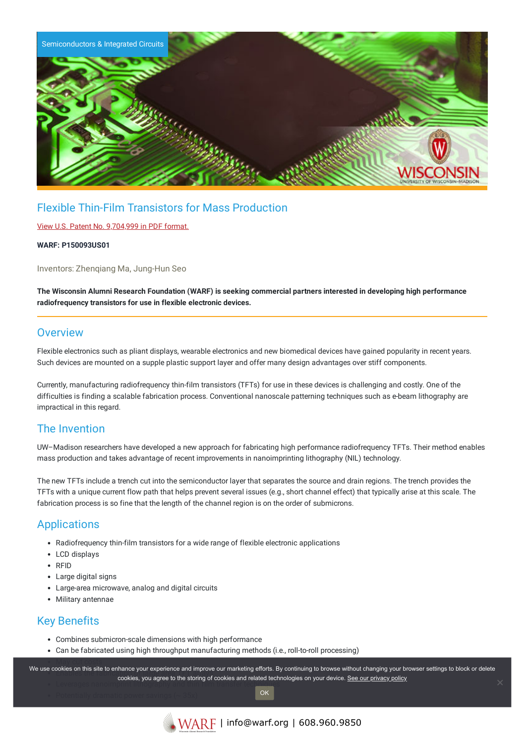

# Flexible Thin-Film Transistors for Mass Production

### View U.S. Patent No. [9,704,999](https://www.warf.org/wp-content/uploads/technologies/ipstatus/P150093US01.pdf) in PDF format.

#### **WARF: P150093US01**

Inventors: Zhenqiang Ma, Jung-Hun Seo

The Wisconsin Alumni Research Foundation (WARF) is seeking commercial partners interested in developing high performance **radiofrequency transistors for use in flexible electronic devices.**

## **Overview**

Flexible electronics such as pliant displays, wearable electronics and new biomedical devices have gained popularity in recent years. Such devices are mounted on a supple plastic support layer and offer many design advantages over stiff components.

Currently, manufacturing radiofrequency thin-film transistors (TFTs) for use in these devices is challenging and costly. One of the difficulties is finding a scalable fabrication process. Conventional nanoscale patterning techniques such as e-beam lithography are impractical in this regard.

## The Invention

UW–Madison researchers have developed a new approach for fabricating high performance radiofrequency TFTs. Their method enables mass production and takes advantage of recent improvements in nanoimprinting lithography (NIL) technology.

The new TFTs include a trench cut into the semiconductor layer that separates the source and drain regions. The trench provides the TFTs with a unique current flow path that helps prevent several issues (e.g., short channel effect) that typically arise at this scale. The fabrication process is so fine that the length of the channel region is on the order of submicrons.

## **Applications**

- Radiofrequency thin-film transistors for a wide range of flexible electronic applications
- LCD displays
- RFID
- Large digital signs
- Large-area microwave, analog and digital circuits
- Military antennae

# Key Benefits

- Combines submicron-scale dimensions with high performance
- Can be fabricated using high throughput manufacturing methods (i.e., roll-to-roll processing)

We use cookies on this site to enhance your experience and improve our marketing efforts. By continuing to browse without changing your browser settings to block or delete **cookies, you agree to the storing of cookies and related technologies on your device. <u>See our privacy policy</u><br>Leverages nanother cookies, you agree to the storing of cookies and related technologies on your device. See o**